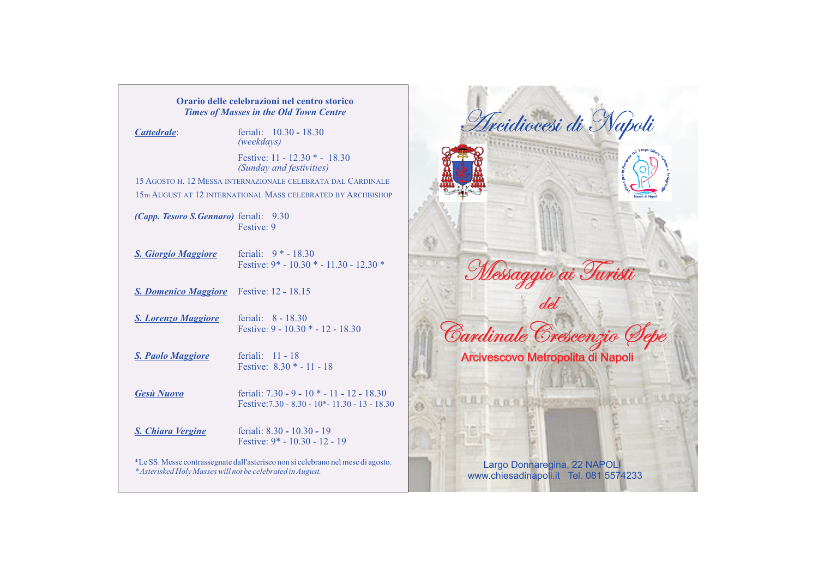| Orario delle celebrazioni nel centro storico<br><b>Times of Masses in the Old Town Centre</b> |                                                                                               |
|-----------------------------------------------------------------------------------------------|-----------------------------------------------------------------------------------------------|
| Cattedrale:                                                                                   | feriali: $10.30 - 18.30$<br>(weekdays)                                                        |
|                                                                                               | Festive: $11 - 12.30 * - 18.30$<br>(Sunday and festivities)                                   |
|                                                                                               | 15 AGOSTO H. 12 MESSA INTERNAZIONALE CELEBRATA DAL CARDINALE                                  |
|                                                                                               | 15TH AUGUST AT 12 INTERNATIONAL MASS CELEBRATED BY ARCHBISHOP                                 |
| <i>(Capp. Tesoro S.Gennaro)</i> feriali: 9.30                                                 | Festive: 9                                                                                    |
| <b>S. Giorgio Maggiore</b>                                                                    | feriali: $9 * - 18.30$<br>Festive: $9* - 10.30 * - 11.30 - 12.30 *$                           |
| <b>S. Domenico Maggiore</b> Festive: 12 - 18.15                                               |                                                                                               |
| <b>S.</b> Lorenzo Maggiore                                                                    | feriali: $8 - 18.30$<br>Festive: $9 - 10.30 * - 12 - 18.30$                                   |
| <b>S. Paolo Maggiore</b>                                                                      | feriali: $11 - 18$<br>Festive: $8.30 * - 11 - 18$                                             |
| <b>Gesù Nuovo</b>                                                                             | feriali: 7.30 - 9 - 10 * - 11 - 12 - 18.30<br>Festive: 7.30 - 8.30 - 10* - 11.30 - 13 - 18.30 |
| <b>S. Chiara Vergine</b>                                                                      | feriali: 8.30 - 10.30 - 19<br>Festive: $9* - 10.30 - 12 - 19$                                 |
| * Asterisked Holy Masses will not be celebrated in August.                                    | *Le SS. Messe contrassegnate dall'asterisco non si celebrano nel mese di agosto.              |

**SE** Messaggio ai Turisti del CardinaleCrescenzio Sepe Arcivescovo Metropolita di Napoli an all annipperso 百五尺寸

Arcidiocesi di Napoli

Largo Donnaregina, 22 NAPOLI www.chiesadinapoli.it Tel. 081 5574233